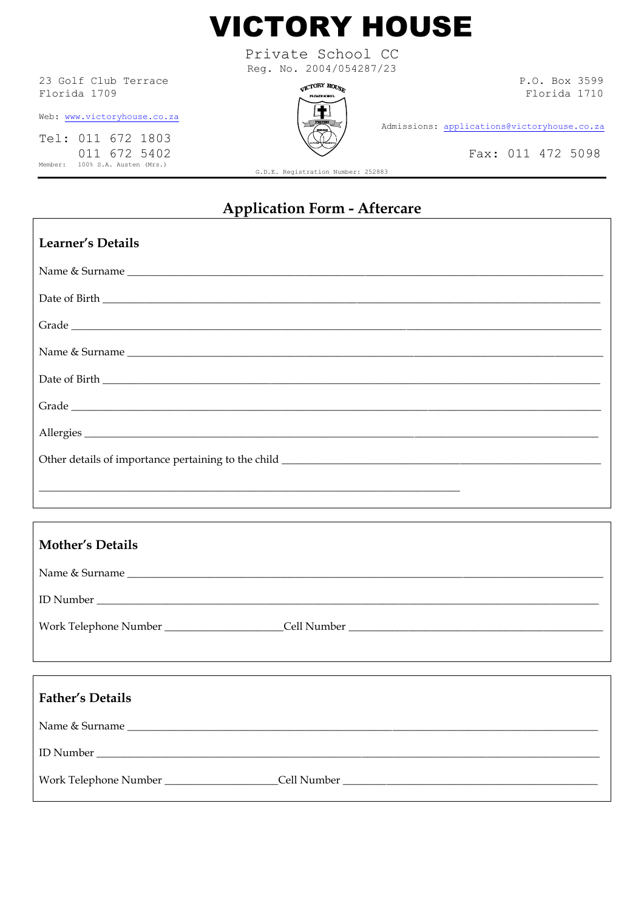

Private School CC Reg. No. 2004/054287/23

23 Golf Club Terrace Florida 1709

Web: www.victoryhouse.co.za

Tel: 011 672 1803 011 672 5402 Member: 100% S.A. Austen (Mrs.)



P.O. Box 3599 Florida 1710

Admissions: applications@victoryhouse.co.za

Fax: 011 472 5098

G.D.E. Registration Number: 252883

## **Application Form - Aftercare**

| Learner's Details       |                |
|-------------------------|----------------|
|                         |                |
|                         |                |
|                         |                |
|                         | Name & Surname |
|                         |                |
|                         |                |
|                         |                |
|                         |                |
|                         |                |
|                         |                |
| <b>Mother's Details</b> |                |
| Name & Surname          |                |
|                         |                |
|                         |                |
|                         |                |
|                         |                |
| <b>Father's Details</b> |                |
|                         |                |
|                         |                |
|                         |                |